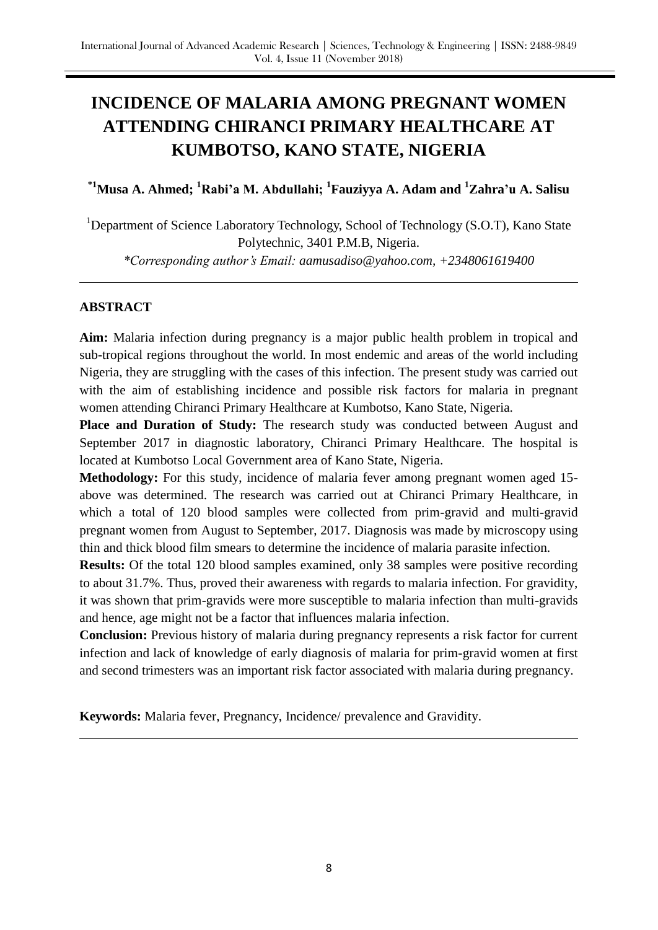# **INCIDENCE OF MALARIA AMONG PREGNANT WOMEN ATTENDING CHIRANCI PRIMARY HEALTHCARE AT KUMBOTSO, KANO STATE, NIGERIA**

**\*1Musa A. Ahmed; <sup>1</sup>Rabi'a M. Abdullahi; <sup>1</sup> Fauziyya A. Adam and <sup>1</sup>Zahra'u A. Salisu** 

<sup>1</sup>Department of Science Laboratory Technology, School of Technology (S.O.T), Kano State Polytechnic, 3401 P.M.B, Nigeria. *\*Corresponding author's Email: aamusadiso@yahoo.com, +2348061619400*

# **ABSTRACT**

**Aim:** Malaria infection during pregnancy is a major public health problem in tropical and sub-tropical regions throughout the world. In most endemic and areas of the world including Nigeria, they are struggling with the cases of this infection. The present study was carried out with the aim of establishing incidence and possible risk factors for malaria in pregnant women attending Chiranci Primary Healthcare at Kumbotso, Kano State, Nigeria.

**Place and Duration of Study:** The research study was conducted between August and September 2017 in diagnostic laboratory, Chiranci Primary Healthcare. The hospital is located at Kumbotso Local Government area of Kano State, Nigeria.

**Methodology:** For this study, incidence of malaria fever among pregnant women aged 15 above was determined. The research was carried out at Chiranci Primary Healthcare, in which a total of 120 blood samples were collected from prim-gravid and multi-gravid pregnant women from August to September, 2017. Diagnosis was made by microscopy using thin and thick blood film smears to determine the incidence of malaria parasite infection.

**Results:** Of the total 120 blood samples examined, only 38 samples were positive recording to about 31.7%. Thus, proved their awareness with regards to malaria infection. For gravidity, it was shown that prim-gravids were more susceptible to malaria infection than multi-gravids and hence, age might not be a factor that influences malaria infection.

**Conclusion:** Previous history of malaria during pregnancy represents a risk factor for current infection and lack of knowledge of early diagnosis of malaria for prim-gravid women at first and second trimesters was an important risk factor associated with malaria during pregnancy.

**Keywords:** Malaria fever, Pregnancy, Incidence/ prevalence and Gravidity.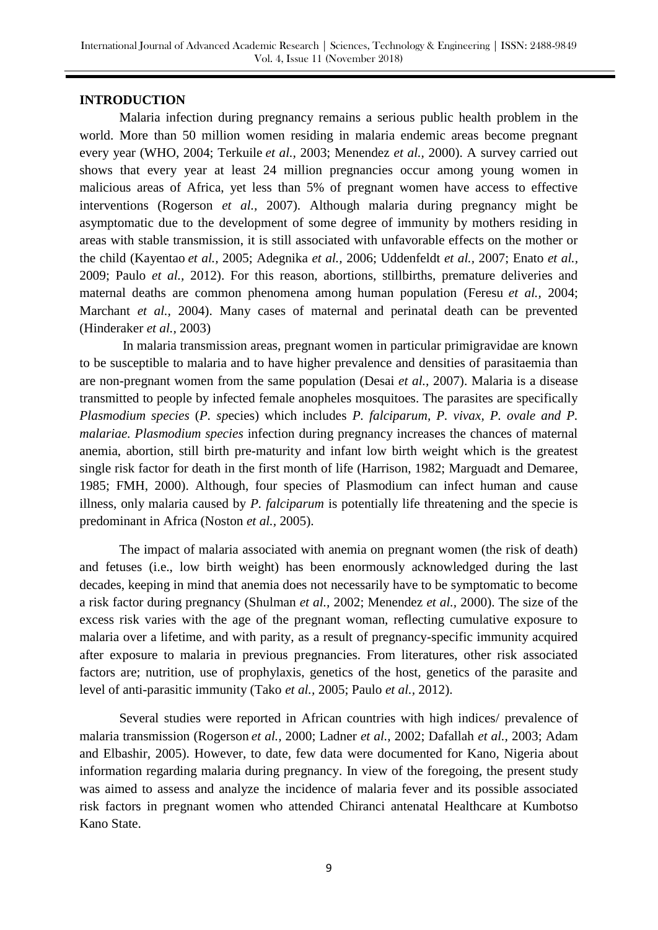# **INTRODUCTION**

Malaria infection during pregnancy remains a serious public health problem in the world. More than 50 million women residing in malaria endemic areas become pregnant every year (WHO, 2004; Terkuile *et al.,* 2003; Menendez *et al.,* 2000). A survey carried out shows that every year at least 24 million pregnancies occur among young women in malicious areas of Africa, yet less than 5% of pregnant women have access to effective interventions (Rogerson *et al.,* 2007). Although malaria during pregnancy might be asymptomatic due to the development of some degree of immunity by mothers residing in areas with stable transmission, it is still associated with unfavorable effects on the mother or the child (Kayentao *et al.,* 2005; Adegnika *et al.,* 2006; Uddenfeldt *et al.,* 2007; Enato *et al.,* 2009; Paulo *et al.,* 2012). For this reason, abortions, stillbirths, premature deliveries and maternal deaths are common phenomena among human population (Feresu *et al.,* 2004; Marchant *et al.,* 2004). Many cases of maternal and perinatal death can be prevented (Hinderaker *et al.,* 2003)

In malaria transmission areas, pregnant women in particular primigravidae are known to be susceptible to malaria and to have higher prevalence and densities of parasitaemia than are non-pregnant women from the same population (Desai *et al.,* 2007). Malaria is a disease transmitted to people by infected female anopheles mosquitoes. The parasites are specifically *Plasmodium species* (*P. sp*ecies) which includes *P. falciparum, P. vivax, P. ovale and P. malariae. Plasmodium species* infection during pregnancy increases the chances of maternal anemia, abortion, still birth pre-maturity and infant low birth weight which is the greatest single risk factor for death in the first month of life (Harrison, 1982; Marguadt and Demaree, 1985; FMH, 2000). Although, four species of Plasmodium can infect human and cause illness, only malaria caused by *P. falciparum* is potentially life threatening and the specie is predominant in Africa (Noston *et al.,* 2005).

The impact of malaria associated with anemia on pregnant women (the risk of death) and fetuses (i.e., low birth weight) has been enormously acknowledged during the last decades, keeping in mind that anemia does not necessarily have to be symptomatic to become a risk factor during pregnancy (Shulman *et al.,* 2002; Menendez *et al.,* 2000). The size of the excess risk varies with the age of the pregnant woman, reflecting cumulative exposure to malaria over a lifetime, and with parity, as a result of pregnancy-specific immunity acquired after exposure to malaria in previous pregnancies. From literatures, other risk associated factors are; nutrition, use of prophylaxis, genetics of the host, genetics of the parasite and level of anti-parasitic immunity (Tako *et al.,* 2005; Paulo *et al.,* 2012).

Several studies were reported in African countries with high indices/ prevalence of malaria transmission (Rogerson *et al.,* 2000; Ladner *et al.,* 2002; Dafallah *et al.,* 2003; Adam and Elbashir, 2005). However, to date, few data were documented for Kano, Nigeria about information regarding malaria during pregnancy. In view of the foregoing, the present study was aimed to assess and analyze the incidence of malaria fever and its possible associated risk factors in pregnant women who attended Chiranci antenatal Healthcare at Kumbotso Kano State.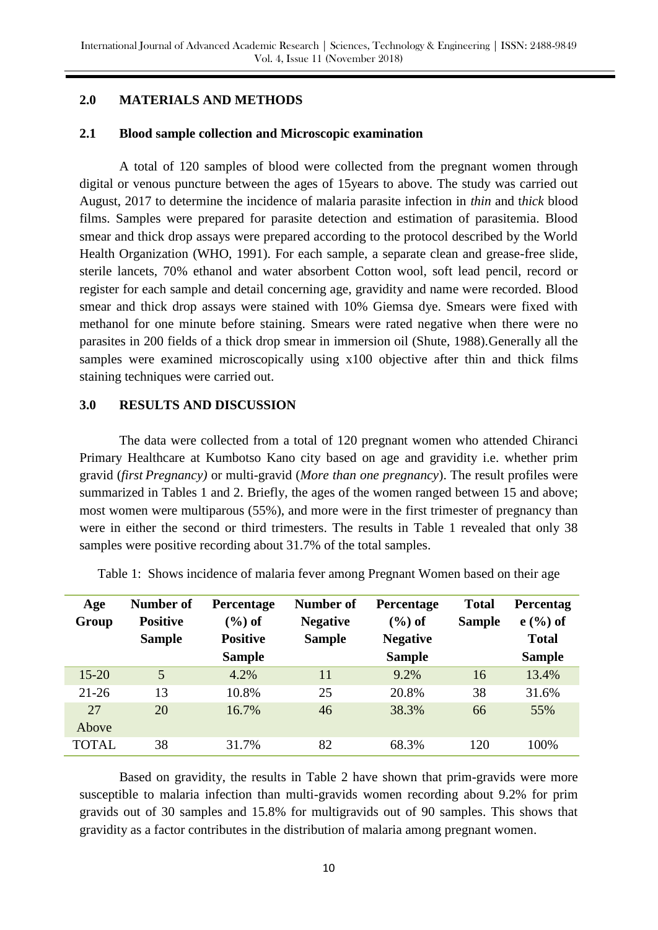# **2.0 MATERIALS AND METHODS**

# **2.1 Blood sample collection and Microscopic examination**

A total of 120 samples of blood were collected from the pregnant women through digital or venous puncture between the ages of 15years to above. The study was carried out August, 2017 to determine the incidence of malaria parasite infection in *thin* and t*hick* blood films. Samples were prepared for parasite detection and estimation of parasitemia. Blood smear and thick drop assays were prepared according to the protocol described by the World Health Organization (WHO, 1991). For each sample, a separate clean and grease-free slide, sterile lancets, 70% ethanol and water absorbent Cotton wool, soft lead pencil, record or register for each sample and detail concerning age, gravidity and name were recorded. Blood smear and thick drop assays were stained with 10% Giemsa dye. Smears were fixed with methanol for one minute before staining. Smears were rated negative when there were no parasites in 200 fields of a thick drop smear in immersion oil (Shute, 1988).Generally all the samples were examined microscopically using x100 objective after thin and thick films staining techniques were carried out.

# **3.0 RESULTS AND DISCUSSION**

The data were collected from a total of 120 pregnant women who attended Chiranci Primary Healthcare at Kumbotso Kano city based on age and gravidity i.e. whether prim gravid (*first Pregnancy)* or multi-gravid (*More than one pregnancy*). The result profiles were summarized in Tables 1 and 2. Briefly, the ages of the women ranged between 15 and above; most women were multiparous (55%), and more were in the first trimester of pregnancy than were in either the second or third trimesters. The results in Table 1 revealed that only 38 samples were positive recording about 31.7% of the total samples.

| Age          | Number of       | <b>Percentage</b>             | Number of       | <b>Percentage</b> | <b>Total</b>  | <b>Percentag</b> |
|--------------|-----------------|-------------------------------|-----------------|-------------------|---------------|------------------|
| Group        | <b>Positive</b> | $\left(\frac{6}{6}\right)$ of | <b>Negative</b> | $(\%)$ of         | <b>Sample</b> | $e($ %) of       |
|              | <b>Sample</b>   | <b>Positive</b>               | <b>Sample</b>   | <b>Negative</b>   |               | <b>Total</b>     |
|              |                 | <b>Sample</b>                 |                 | <b>Sample</b>     |               | <b>Sample</b>    |
| $15 - 20$    | $\overline{5}$  | 4.2%                          | 11              | 9.2%              | 16            | 13.4%            |
| $21 - 26$    | 13              | 10.8%                         | 25              | 20.8%             | 38            | 31.6%            |
| 27           | 20              | 16.7%                         | 46              | 38.3%             | 66            | 55%              |
| Above        |                 |                               |                 |                   |               |                  |
| <b>TOTAL</b> | 38              | 31.7%                         | 82              | 68.3%             | 120           | 100%             |

Table 1: Shows incidence of malaria fever among Pregnant Women based on their age

Based on gravidity, the results in Table 2 have shown that prim-gravids were more susceptible to malaria infection than multi-gravids women recording about 9.2% for prim gravids out of 30 samples and 15.8% for multigravids out of 90 samples. This shows that gravidity as a factor contributes in the distribution of malaria among pregnant women.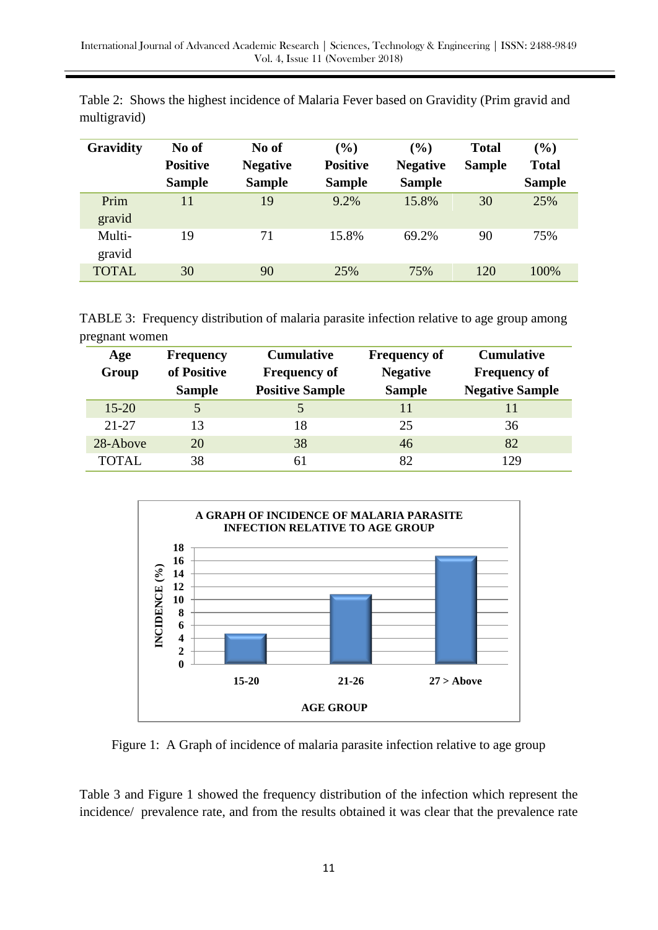| <b>Gravidity</b> | No of           | No of           | $\left( \frac{0}{0} \right)$ | (%)             | <b>Total</b>  | $(\%)$        |
|------------------|-----------------|-----------------|------------------------------|-----------------|---------------|---------------|
|                  | <b>Positive</b> | <b>Negative</b> | <b>Positive</b>              | <b>Negative</b> | <b>Sample</b> | <b>Total</b>  |
|                  | <b>Sample</b>   | <b>Sample</b>   | <b>Sample</b>                | <b>Sample</b>   |               | <b>Sample</b> |
| Prim<br>gravid   | 11              | 19              | 9.2%                         | 15.8%           | 30            | 25%           |
| Multi-<br>gravid | 19              | 71              | 15.8%                        | 69.2%           | 90            | 75%           |
| <b>TOTAL</b>     | 30              | 90              | 25%                          | 75%             | 120           | 100%          |

Table 2: Shows the highest incidence of Malaria Fever based on Gravidity (Prim gravid and multigravid)

TABLE 3: Frequency distribution of malaria parasite infection relative to age group among pregnant women

| Age<br>Group | <b>Frequency</b><br>of Positive<br><b>Sample</b> | <b>Cumulative</b><br><b>Frequency of</b><br><b>Positive Sample</b> | <b>Frequency of</b><br><b>Negative</b><br><b>Sample</b> | <b>Cumulative</b><br><b>Frequency of</b><br><b>Negative Sample</b> |
|--------------|--------------------------------------------------|--------------------------------------------------------------------|---------------------------------------------------------|--------------------------------------------------------------------|
| $15 - 20$    |                                                  |                                                                    | 11                                                      |                                                                    |
| 21-27        | 13                                               | 18                                                                 | 25                                                      | 36                                                                 |
| 28-Above     | 20                                               | 38                                                                 | 46                                                      | 82                                                                 |
| <b>TOTAL</b> | 38                                               | 61                                                                 | 82                                                      | 129                                                                |



Figure 1: A Graph of incidence of malaria parasite infection relative to age group

Table 3 and Figure 1 showed the frequency distribution of the infection which represent the incidence/ prevalence rate, and from the results obtained it was clear that the prevalence rate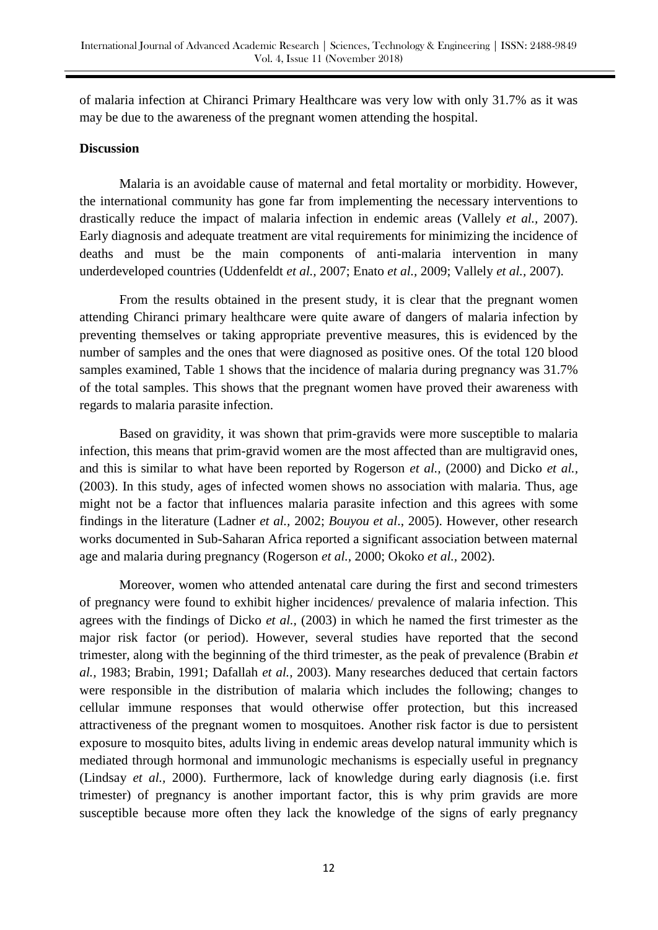of malaria infection at Chiranci Primary Healthcare was very low with only 31.7% as it was may be due to the awareness of the pregnant women attending the hospital.

#### **Discussion**

Malaria is an avoidable cause of maternal and fetal mortality or morbidity. However, the international community has gone far from implementing the necessary interventions to drastically reduce the impact of malaria infection in endemic areas (Vallely *et al.,* 2007). Early diagnosis and adequate treatment are vital requirements for minimizing the incidence of deaths and must be the main components of anti-malaria intervention in many underdeveloped countries (Uddenfeldt *et al.,* 2007; Enato *et al.,* 2009; Vallely *et al.,* 2007).

From the results obtained in the present study, it is clear that the pregnant women attending Chiranci primary healthcare were quite aware of dangers of malaria infection by preventing themselves or taking appropriate preventive measures, this is evidenced by the number of samples and the ones that were diagnosed as positive ones. Of the total 120 blood samples examined, Table 1 shows that the incidence of malaria during pregnancy was  $31.7\%$ of the total samples. This shows that the pregnant women have proved their awareness with regards to malaria parasite infection.

Based on gravidity, it was shown that prim-gravids were more susceptible to malaria infection, this means that prim-gravid women are the most affected than are multigravid ones, and this is similar to what have been reported by Rogerson *et al.,* (2000) and Dicko *et al.,* (2003). In this study, ages of infected women shows no association with malaria. Thus, age might not be a factor that influences malaria parasite infection and this agrees with some findings in the literature (Ladner *et al.,* 2002; *Bouyou et al*., 2005). However, other research works documented in Sub-Saharan Africa reported a significant association between maternal age and malaria during pregnancy (Rogerson *et al.,* 2000; Okoko *et al.,* 2002).

Moreover, women who attended antenatal care during the first and second trimesters of pregnancy were found to exhibit higher incidences/ prevalence of malaria infection. This agrees with the findings of Dicko *et al.,* (2003) in which he named the first trimester as the major risk factor (or period). However, several studies have reported that the second trimester, along with the beginning of the third trimester, as the peak of prevalence (Brabin *et al.,* 1983; Brabin, 1991; Dafallah *et al.,* 2003). Many researches deduced that certain factors were responsible in the distribution of malaria which includes the following; changes to cellular immune responses that would otherwise offer protection, but this increased attractiveness of the pregnant women to mosquitoes. Another risk factor is due to persistent exposure to mosquito bites, adults living in endemic areas develop natural immunity which is mediated through hormonal and immunologic mechanisms is especially useful in pregnancy (Lindsay *et al.,* 2000). Furthermore, lack of knowledge during early diagnosis (i.e. first trimester) of pregnancy is another important factor, this is why prim gravids are more susceptible because more often they lack the knowledge of the signs of early pregnancy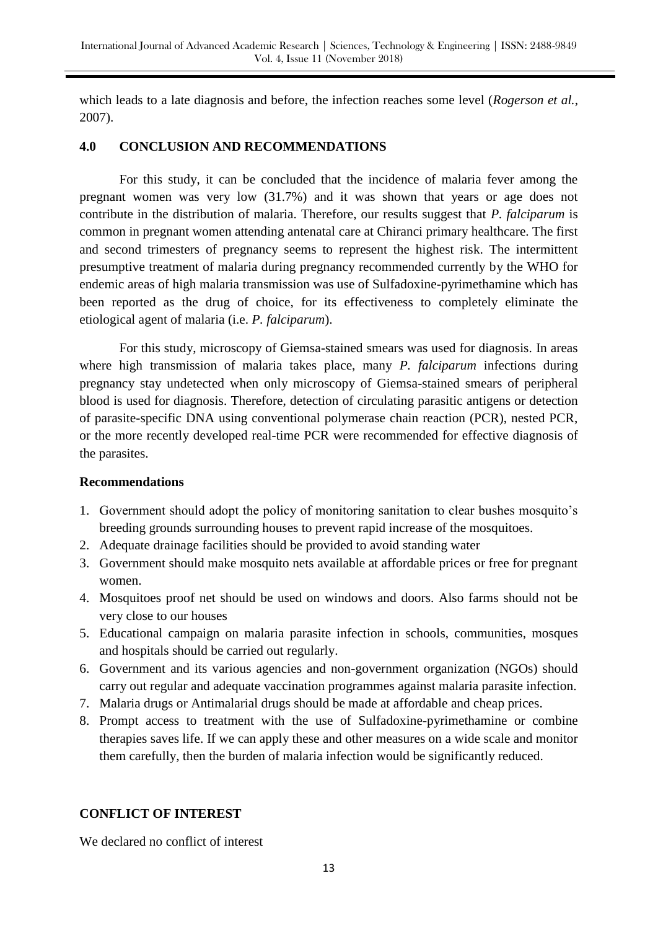which leads to a late diagnosis and before, the infection reaches some level (*Rogerson et al.*, 2007).

# **4.0 CONCLUSION AND RECOMMENDATIONS**

For this study, it can be concluded that the incidence of malaria fever among the pregnant women was very low (31.7%) and it was shown that years or age does not contribute in the distribution of malaria. Therefore, our results suggest that *P. falciparum* is common in pregnant women attending antenatal care at Chiranci primary healthcare. The first and second trimesters of pregnancy seems to represent the highest risk. The intermittent presumptive treatment of malaria during pregnancy recommended currently by the WHO for endemic areas of high malaria transmission was use of Sulfadoxine-pyrimethamine which has been reported as the drug of choice, for its effectiveness to completely eliminate the etiological agent of malaria (i.e. *P. falciparum*).

For this study, microscopy of Giemsa-stained smears was used for diagnosis. In areas where high transmission of malaria takes place, many *P. falciparum* infections during pregnancy stay undetected when only microscopy of Giemsa-stained smears of peripheral blood is used for diagnosis. Therefore, detection of circulating parasitic antigens or detection of parasite-specific DNA using conventional polymerase chain reaction (PCR), nested PCR, or the more recently developed real-time PCR were recommended for effective diagnosis of the parasites.

# **Recommendations**

- 1. Government should adopt the policy of monitoring sanitation to clear bushes mosquito's breeding grounds surrounding houses to prevent rapid increase of the mosquitoes.
- 2. Adequate drainage facilities should be provided to avoid standing water
- 3. Government should make mosquito nets available at affordable prices or free for pregnant women.
- 4. Mosquitoes proof net should be used on windows and doors. Also farms should not be very close to our houses
- 5. Educational campaign on malaria parasite infection in schools, communities, mosques and hospitals should be carried out regularly.
- 6. Government and its various agencies and non-government organization (NGOs) should carry out regular and adequate vaccination programmes against malaria parasite infection.
- 7. Malaria drugs or Antimalarial drugs should be made at affordable and cheap prices.
- 8. Prompt access to treatment with the use of Sulfadoxine-pyrimethamine or combine therapies saves life. If we can apply these and other measures on a wide scale and monitor them carefully, then the burden of malaria infection would be significantly reduced.

# **CONFLICT OF INTEREST**

We declared no conflict of interest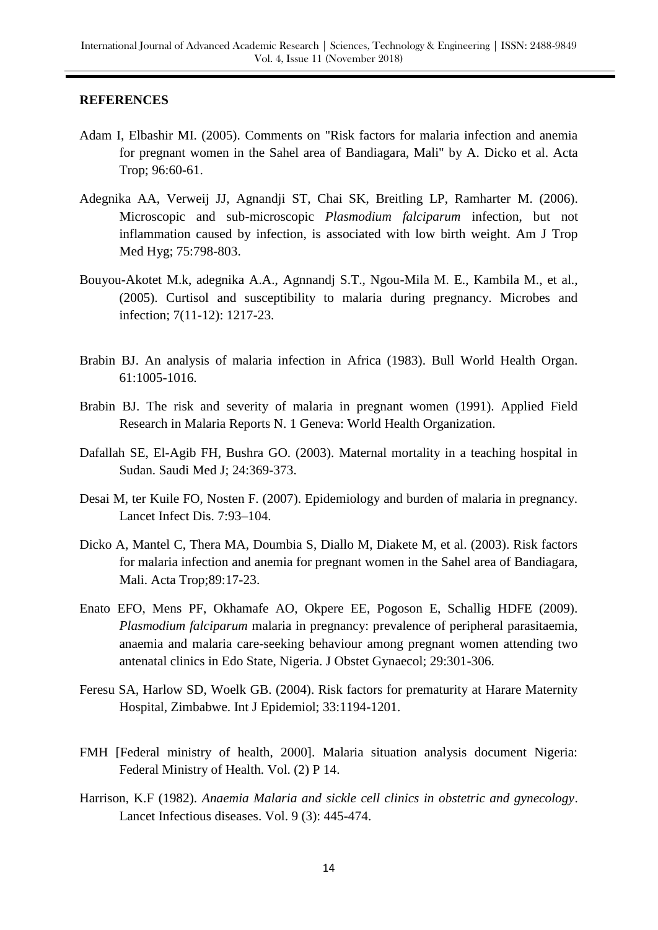## **REFERENCES**

- Adam I, Elbashir MI. (2005). Comments on "Risk factors for malaria infection and anemia for pregnant women in the Sahel area of Bandiagara, Mali" by A. Dicko et al. Acta Trop; 96:60-61.
- Adegnika AA, Verweij JJ, Agnandji ST, Chai SK, Breitling LP, Ramharter M. (2006). Microscopic and sub-microscopic *Plasmodium falciparum* infection, but not inflammation caused by infection, is associated with low birth weight. Am J Trop Med Hyg; 75:798-803.
- Bouyou-Akotet M.k, adegnika A.A., Agnnandj S.T., Ngou-Mila M. E., Kambila M., et al., (2005). Curtisol and susceptibility to malaria during pregnancy. Microbes and infection; 7(11-12): 1217-23.
- Brabin BJ. An analysis of malaria infection in Africa (1983). Bull World Health Organ. 61:1005-1016.
- Brabin BJ. The risk and severity of malaria in pregnant women (1991). Applied Field Research in Malaria Reports N. 1 Geneva: World Health Organization.
- Dafallah SE, El-Agib FH, Bushra GO. (2003). Maternal mortality in a teaching hospital in Sudan. Saudi Med J; 24:369-373.
- Desai M, ter Kuile FO, Nosten F. (2007). Epidemiology and burden of malaria in pregnancy. Lancet Infect Dis. 7:93–104.
- Dicko A, Mantel C, Thera MA, Doumbia S, Diallo M, Diakete M, et al. (2003). Risk factors for malaria infection and anemia for pregnant women in the Sahel area of Bandiagara, Mali. Acta Trop;89:17-23.
- Enato EFO, Mens PF, Okhamafe AO, Okpere EE, Pogoson E, Schallig HDFE (2009). *Plasmodium falciparum* malaria in pregnancy: prevalence of peripheral parasitaemia, anaemia and malaria care-seeking behaviour among pregnant women attending two antenatal clinics in Edo State, Nigeria. J Obstet Gynaecol; 29:301-306.
- Feresu SA, Harlow SD, Woelk GB. (2004). Risk factors for prematurity at Harare Maternity Hospital, Zimbabwe. Int J Epidemiol; 33:1194-1201.
- FMH [Federal ministry of health, 2000]. Malaria situation analysis document Nigeria: Federal Ministry of Health. Vol. (2) P 14.
- Harrison, K.F (1982). *Anaemia Malaria and sickle cell clinics in obstetric and gynecology*. Lancet Infectious diseases. Vol. 9 (3): 445-474.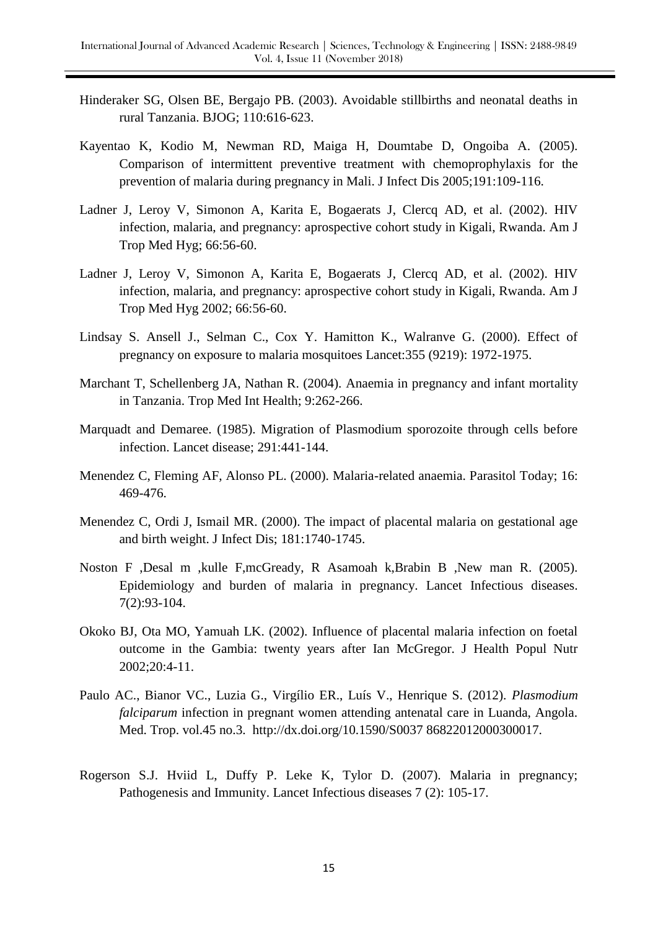- Hinderaker SG, Olsen BE, Bergajo PB. (2003). Avoidable stillbirths and neonatal deaths in rural Tanzania. BJOG; 110:616-623.
- Kayentao K, Kodio M, Newman RD, Maiga H, Doumtabe D, Ongoiba A. (2005). Comparison of intermittent preventive treatment with chemoprophylaxis for the prevention of malaria during pregnancy in Mali. J Infect Dis 2005;191:109-116.
- Ladner J, Leroy V, Simonon A, Karita E, Bogaerats J, Clercq AD, et al. (2002). HIV infection, malaria, and pregnancy: aprospective cohort study in Kigali, Rwanda. Am J Trop Med Hyg; 66:56-60.
- Ladner J, Leroy V, Simonon A, Karita E, Bogaerats J, Clercq AD, et al. (2002). HIV infection, malaria, and pregnancy: aprospective cohort study in Kigali, Rwanda. Am J Trop Med Hyg 2002; 66:56-60.
- Lindsay S. Ansell J., Selman C., Cox Y. Hamitton K., Walranve G. (2000). Effect of pregnancy on exposure to malaria mosquitoes Lancet:355 (9219): 1972-1975.
- Marchant T, Schellenberg JA, Nathan R. (2004). Anaemia in pregnancy and infant mortality in Tanzania. Trop Med Int Health; 9:262-266.
- Marquadt and Demaree. (1985). Migration of Plasmodium sporozoite through cells before infection. Lancet disease; 291:441-144.
- Menendez C, Fleming AF, Alonso PL. (2000). Malaria-related anaemia. Parasitol Today; 16: 469-476.
- Menendez C, Ordi J, Ismail MR. (2000). The impact of placental malaria on gestational age and birth weight. J Infect Dis; 181:1740-1745.
- Noston F ,Desal m ,kulle F,mcGready, R Asamoah k,Brabin B ,New man R. (2005). Epidemiology and burden of malaria in pregnancy. Lancet Infectious diseases. 7(2):93-104.
- Okoko BJ, Ota MO, Yamuah LK. (2002). Influence of placental malaria infection on foetal outcome in the Gambia: twenty years after Ian McGregor. J Health Popul Nutr 2002;20:4-11.
- Paulo AC., Bianor VC., Luzia G., Virgílio ER., Luís V., Henrique S. (2012). *Plasmodium falciparum* infection in pregnant women attending antenatal care in Luanda, Angola. Med. Trop. vol.45 no.3. http://dx.doi.org/10.1590/S0037 86822012000300017.
- Rogerson S.J. Hviid L, Duffy P. Leke K, Tylor D. (2007). Malaria in pregnancy; Pathogenesis and Immunity. Lancet Infectious diseases 7 (2): 105-17.